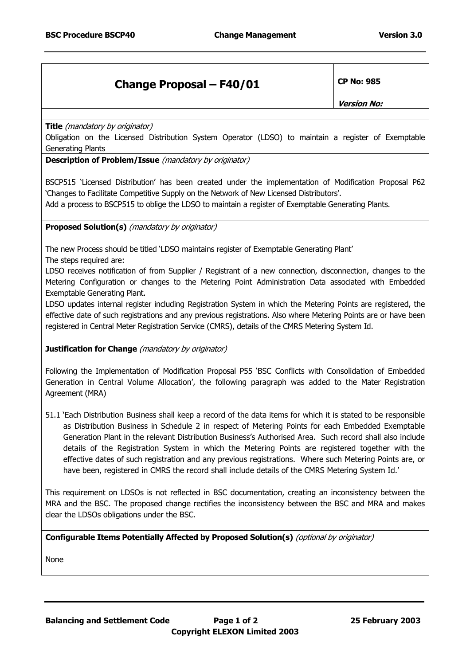## **Change Proposal – F40/01 CP No: 985**

**Version No:** 

**Title** (mandatory by originator)

Obligation on the Licensed Distribution System Operator (LDSO) to maintain a register of Exemptable Generating Plants

**Description of Problem/Issue** (mandatory by originator)

BSCP515 'Licensed Distribution' has been created under the implementation of Modification Proposal P62 'Changes to Facilitate Competitive Supply on the Network of New Licensed Distributors'.

Add a process to BSCP515 to oblige the LDSO to maintain a register of Exemptable Generating Plants.

**Proposed Solution(s)** (mandatory by originator)

The new Process should be titled 'LDSO maintains register of Exemptable Generating Plant' The steps required are:

LDSO receives notification of from Supplier / Registrant of a new connection, disconnection, changes to the Metering Configuration or changes to the Metering Point Administration Data associated with Embedded Exemptable Generating Plant.

LDSO updates internal register including Registration System in which the Metering Points are registered, the effective date of such registrations and any previous registrations. Also where Metering Points are or have been registered in Central Meter Registration Service (CMRS), details of the CMRS Metering System Id.

## **Justification for Change** (mandatory by originator)

Following the Implementation of Modification Proposal P55 'BSC Conflicts with Consolidation of Embedded Generation in Central Volume Allocation', the following paragraph was added to the Mater Registration Agreement (MRA)

51.1 'Each Distribution Business shall keep a record of the data items for which it is stated to be responsible as Distribution Business in Schedule 2 in respect of Metering Points for each Embedded Exemptable Generation Plant in the relevant Distribution Business's Authorised Area. Such record shall also include details of the Registration System in which the Metering Points are registered together with the effective dates of such registration and any previous registrations. Where such Metering Points are, or have been, registered in CMRS the record shall include details of the CMRS Metering System Id.'

This requirement on LDSOs is not reflected in BSC documentation, creating an inconsistency between the MRA and the BSC. The proposed change rectifies the inconsistency between the BSC and MRA and makes clear the LDSOs obligations under the BSC.

**Configurable Items Potentially Affected by Proposed Solution(s)** (optional by originator)

None